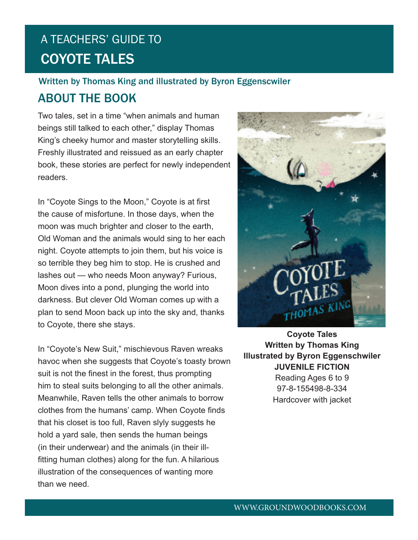## ABOUT THE BOOK Written by Thomas King and illustrated by Byron Eggenscwiler

Two tales, set in a time "when animals and human beings still talked to each other," display Thomas King's cheeky humor and master storytelling skills. Freshly illustrated and reissued as an early chapter book, these stories are perfect for newly independent readers.

In "Coyote Sings to the Moon," Coyote is at first the cause of misfortune. In those days, when the moon was much brighter and closer to the earth, Old Woman and the animals would sing to her each night. Coyote attempts to join them, but his voice is so terrible they beg him to stop. He is crushed and lashes out — who needs Moon anyway? Furious, Moon dives into a pond, plunging the world into darkness. But clever Old Woman comes up with a plan to send Moon back up into the sky and, thanks to Coyote, there she stays.

In "Coyote's New Suit," mischievous Raven wreaks havoc when she suggests that Coyote's toasty brown suit is not the finest in the forest, thus prompting him to steal suits belonging to all the other animals. Meanwhile, Raven tells the other animals to borrow clothes from the humans' camp. When Coyote finds that his closet is too full, Raven slyly suggests he hold a yard sale, then sends the human beings (in their underwear) and the animals (in their illfitting human clothes) along for the fun. A hilarious illustration of the consequences of wanting more than we need.



**Coyote Tales Written by Thomas King Illustrated by Byron Eggenschwiler JUVENILE FICTION** Reading Ages 6 to 9 97-8-155498-8-334 Hardcover with jacket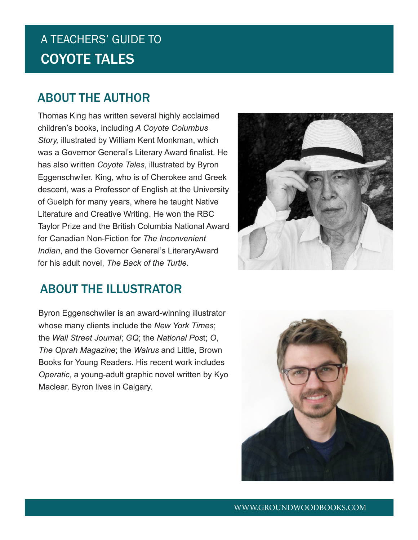### ABOUT THE AUTHOR

Thomas King has written several highly acclaimed children's books, including *A Coyote Columbus Story,* illustrated by William Kent Monkman, which was a Governor General's Literary Award finalist. He has also written *Coyote Tales*, illustrated by Byron Eggenschwiler. King, who is of Cherokee and Greek descent, was a Professor of English at the University of Guelph for many years, where he taught Native Literature and Creative Writing. He won the RBC Taylor Prize and the British Columbia National Award for Canadian Non-Fiction for *The Inconvenient Indian*, and the Governor General's LiteraryAward for his adult novel, *The Back of the Turtle*.

## ABOUT THE ILLUSTRATOR

Byron Eggenschwiler is an award-winning illustrator whose many clients include the *New York Times*; the *Wall Street Journal*; *GQ*; the *National Pos*t; *O*, *The Oprah Magazine*; the *Walrus* and Little, Brown Books for Young Readers. His recent work includes *Operatic*, a young-adult graphic novel written by Kyo Maclear. Byron lives in Calgary.



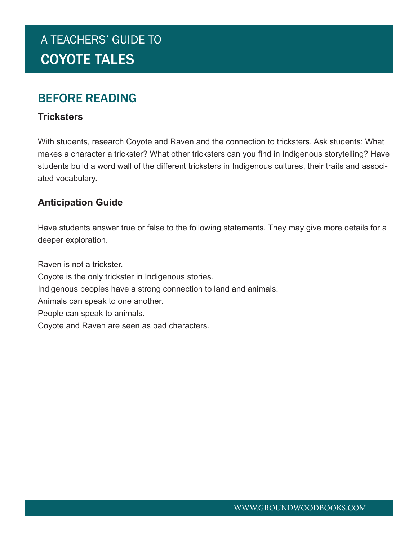### BEFORE READING

#### **Tricksters**

With students, research Coyote and Raven and the connection to tricksters. Ask students: What makes a character a trickster? What other tricksters can you find in Indigenous storytelling? Have students build a word wall of the different tricksters in Indigenous cultures, their traits and associated vocabulary.

#### **Anticipation Guide**

Have students answer true or false to the following statements. They may give more details for a deeper exploration.

Raven is not a trickster.

- Coyote is the only trickster in Indigenous stories.
- Indigenous peoples have a strong connection to land and animals.
- Animals can speak to one another.
- People can speak to animals.
- Coyote and Raven are seen as bad characters.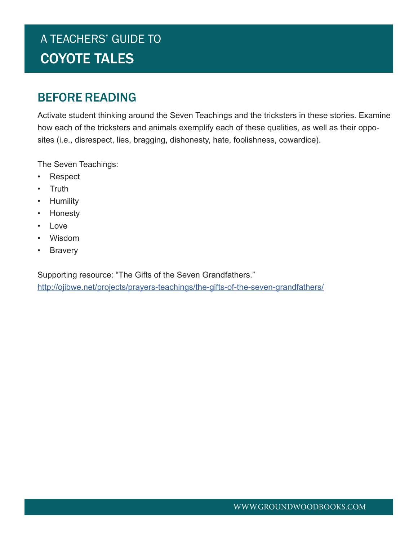### BEFORE READING

Activate student thinking around the Seven Teachings and the tricksters in these stories. Examine how each of the tricksters and animals exemplify each of these qualities, as well as their opposites (i.e., disrespect, lies, bragging, dishonesty, hate, foolishness, cowardice).

The Seven Teachings:

- Respect
- Truth
- Humility
- Honesty
- Love
- Wisdom
- **Bravery**

Supporting resource: "The Gifts of the Seven Grandfathers." http://ojibwe.net/projects/prayers-teachings/the-gifts-of-the-seven-grandfathers/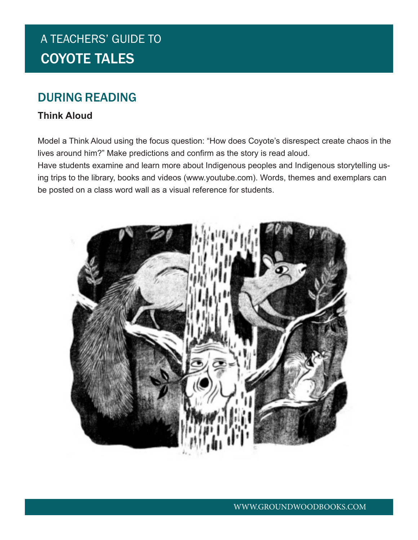### DURING READING

#### **Think Aloud**

Model a Think Aloud using the focus question: "How does Coyote's disrespect create chaos in the lives around him?" Make predictions and confirm as the story is read aloud.

Have students examine and learn more about Indigenous peoples and Indigenous storytelling using trips to the library, books and videos (www.youtube.com). Words, themes and exemplars can be posted on a class word wall as a visual reference for students.

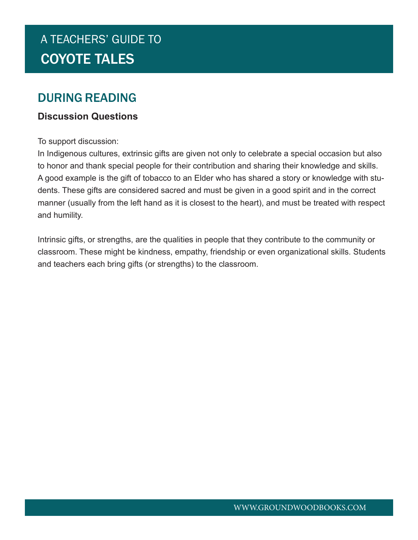### DURING READING

#### **Discussion Questions**

To support discussion:

In Indigenous cultures, extrinsic gifts are given not only to celebrate a special occasion but also to honor and thank special people for their contribution and sharing their knowledge and skills. A good example is the gift of tobacco to an Elder who has shared a story or knowledge with students. These gifts are considered sacred and must be given in a good spirit and in the correct manner (usually from the left hand as it is closest to the heart), and must be treated with respect and humility.

Intrinsic gifts, or strengths, are the qualities in people that they contribute to the community or classroom. These might be kindness, empathy, friendship or even organizational skills. Students and teachers each bring gifts (or strengths) to the classroom.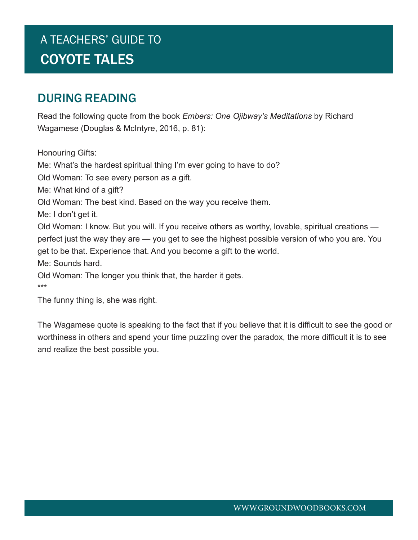### DURING READING

Read the following quote from the book *Embers: One Ojibway's Meditations* by Richard Wagamese (Douglas & McIntyre, 2016, p. 81):

Honouring Gifts: Me: What's the hardest spiritual thing I'm ever going to have to do? Old Woman: To see every person as a gift. Me: What kind of a gift? Old Woman: The best kind. Based on the way you receive them. Me: I don't get it. Old Woman: I know. But you will. If you receive others as worthy, lovable, spiritual creations perfect just the way they are — you get to see the highest possible version of who you are. You get to be that. Experience that. And you become a gift to the world. Me: Sounds hard. Old Woman: The longer you think that, the harder it gets. \*\*\* The funny thing is, she was right.

The Wagamese quote is speaking to the fact that if you believe that it is difficult to see the good or worthiness in others and spend your time puzzling over the paradox, the more difficult it is to see and realize the best possible you.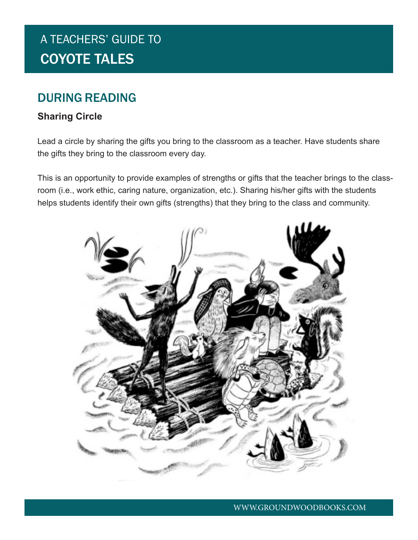### DURING READING

#### **Sharing Circle**

Lead a circle by sharing the gifts you bring to the classroom as a teacher. Have students share the gifts they bring to the classroom every day.

This is an opportunity to provide examples of strengths or gifts that the teacher brings to the classroom (i.e., work ethic, caring nature, organization, etc.). Sharing his/her gifts with the students helps students identify their own gifts (strengths) that they bring to the class and community.

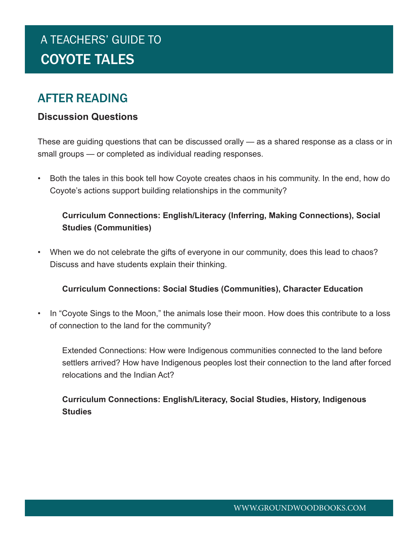### AFTER READING

#### **Discussion Questions**

These are guiding questions that can be discussed orally — as a shared response as a class or in small groups — or completed as individual reading responses.

• Both the tales in this book tell how Coyote creates chaos in his community. In the end, how do Coyote's actions support building relationships in the community?

#### **Curriculum Connections: English/Literacy (Inferring, Making Connections), Social Studies (Communities)**

• When we do not celebrate the gifts of everyone in our community, does this lead to chaos? Discuss and have students explain their thinking.

#### **Curriculum Connections: Social Studies (Communities), Character Education**

• In "Coyote Sings to the Moon," the animals lose their moon. How does this contribute to a loss of connection to the land for the community?

Extended Connections: How were Indigenous communities connected to the land before settlers arrived? How have Indigenous peoples lost their connection to the land after forced relocations and the Indian Act?

#### **Curriculum Connections: English/Literacy, Social Studies, History, Indigenous Studies**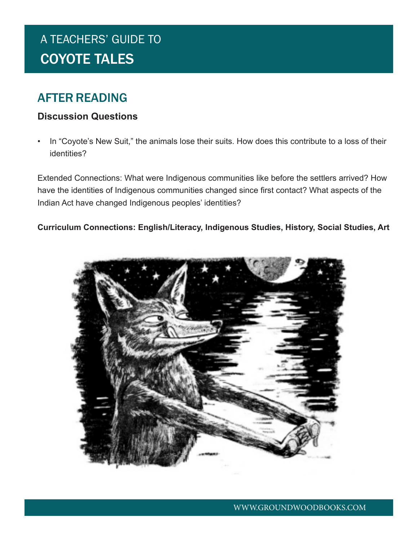### AFTER READING

#### **Discussion Questions**

• In "Coyote's New Suit," the animals lose their suits. How does this contribute to a loss of their identities?

Extended Connections: What were Indigenous communities like before the settlers arrived? How have the identities of Indigenous communities changed since first contact? What aspects of the Indian Act have changed Indigenous peoples' identities?

**Curriculum Connections: English/Literacy, Indigenous Studies, History, Social Studies, Art**

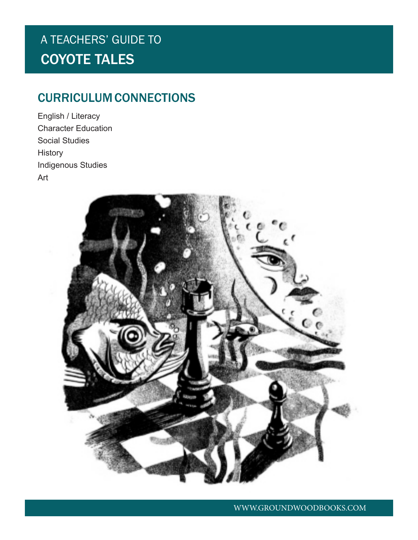## CURRICULUM CONNECTIONS

English / Literacy Character Education Social Studies **History** Indigenous Studies Art